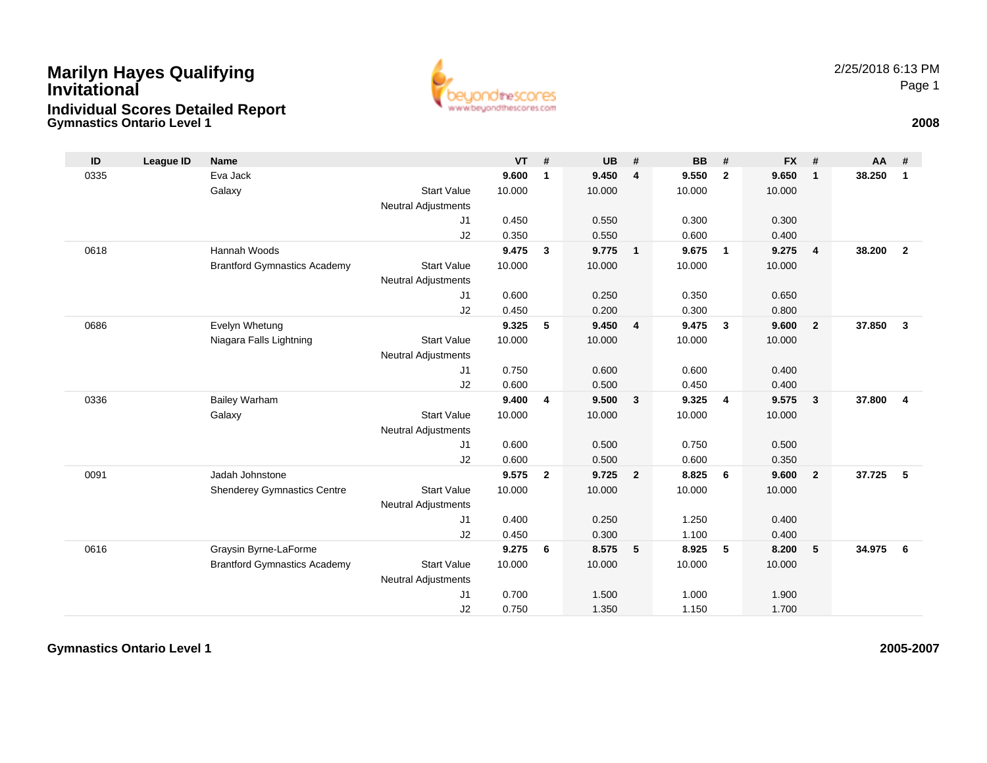### **Gymnastics Ontario Level 1 <sup>2008</sup> Marilyn Hayes Qualifying InvitationalIndividual Scores Detailed Report**



| ID   | League ID | <b>Name</b>                         |                            | $VT$ # |                | <b>UB</b> | #              | <b>BB</b> | #              | <b>FX</b> | #                       | AA     | #                       |
|------|-----------|-------------------------------------|----------------------------|--------|----------------|-----------|----------------|-----------|----------------|-----------|-------------------------|--------|-------------------------|
| 0335 |           | Eva Jack                            |                            | 9.600  | $\mathbf{1}$   | 9.450     | 4              | 9.550     | $\overline{2}$ | 9.650     | $\mathbf{1}$            | 38.250 | $\mathbf{1}$            |
|      |           | Galaxy                              | <b>Start Value</b>         | 10.000 |                | 10.000    |                | 10.000    |                | 10.000    |                         |        |                         |
|      |           |                                     | <b>Neutral Adjustments</b> |        |                |           |                |           |                |           |                         |        |                         |
|      |           |                                     | J1                         | 0.450  |                | 0.550     |                | 0.300     |                | 0.300     |                         |        |                         |
|      |           |                                     | J2                         | 0.350  |                | 0.550     |                | 0.600     |                | 0.400     |                         |        |                         |
| 0618 |           | Hannah Woods                        |                            | 9.475  | $\mathbf{3}$   | 9.775     | $\mathbf{1}$   | 9.675     | $\overline{1}$ | 9.275     | $\overline{4}$          | 38.200 | $\overline{2}$          |
|      |           | <b>Brantford Gymnastics Academy</b> | <b>Start Value</b>         | 10.000 |                | 10.000    |                | 10.000    |                | 10.000    |                         |        |                         |
|      |           |                                     | <b>Neutral Adjustments</b> |        |                |           |                |           |                |           |                         |        |                         |
|      |           |                                     | J1                         | 0.600  |                | 0.250     |                | 0.350     |                | 0.650     |                         |        |                         |
|      |           |                                     | J2                         | 0.450  |                | 0.200     |                | 0.300     |                | 0.800     |                         |        |                         |
| 0686 |           | Evelyn Whetung                      |                            | 9.325  | 5              | 9.450     | 4              | 9.475     | $\mathbf{3}$   | 9.600     | $\overline{2}$          | 37.850 | $\mathbf{3}$            |
|      |           | Niagara Falls Lightning             | <b>Start Value</b>         | 10.000 |                | 10.000    |                | 10.000    |                | 10.000    |                         |        |                         |
|      |           |                                     | <b>Neutral Adjustments</b> |        |                |           |                |           |                |           |                         |        |                         |
|      |           |                                     | J1                         | 0.750  |                | 0.600     |                | 0.600     |                | 0.400     |                         |        |                         |
|      |           |                                     | J2                         | 0.600  |                | 0.500     |                | 0.450     |                | 0.400     |                         |        |                         |
| 0336 |           | <b>Bailey Warham</b>                |                            | 9.400  | 4              | 9.500     | $\mathbf{3}$   | 9.325     | $\overline{4}$ | 9.575     | $\overline{\mathbf{3}}$ | 37.800 | $\overline{\mathbf{4}}$ |
|      |           | Galaxy                              | <b>Start Value</b>         | 10.000 |                | 10.000    |                | 10.000    |                | 10.000    |                         |        |                         |
|      |           |                                     | <b>Neutral Adjustments</b> |        |                |           |                |           |                |           |                         |        |                         |
|      |           |                                     | J1                         | 0.600  |                | 0.500     |                | 0.750     |                | 0.500     |                         |        |                         |
|      |           |                                     | J2                         | 0.600  |                | 0.500     |                | 0.600     |                | 0.350     |                         |        |                         |
| 0091 |           | Jadah Johnstone                     |                            | 9.575  | $\overline{2}$ | 9.725     | $\overline{2}$ | 8.825     | 6              | 9.600     | $\overline{2}$          | 37.725 | 5                       |
|      |           | <b>Shenderey Gymnastics Centre</b>  | <b>Start Value</b>         | 10.000 |                | 10.000    |                | 10.000    |                | 10.000    |                         |        |                         |
|      |           |                                     | <b>Neutral Adjustments</b> |        |                |           |                |           |                |           |                         |        |                         |
|      |           |                                     | J1                         | 0.400  |                | 0.250     |                | 1.250     |                | 0.400     |                         |        |                         |
|      |           |                                     | J2                         | 0.450  |                | 0.300     |                | 1.100     |                | 0.400     |                         |        |                         |
| 0616 |           | Graysin Byrne-LaForme               |                            | 9.275  | 6              | 8.575     | -5             | 8.925     | 5              | 8.200     | 5                       | 34.975 | 6                       |
|      |           | <b>Brantford Gymnastics Academy</b> | <b>Start Value</b>         | 10.000 |                | 10.000    |                | 10.000    |                | 10.000    |                         |        |                         |
|      |           |                                     | Neutral Adjustments        |        |                |           |                |           |                |           |                         |        |                         |
|      |           |                                     | J <sub>1</sub>             | 0.700  |                | 1.500     |                | 1.000     |                | 1.900     |                         |        |                         |
|      |           |                                     | J2                         | 0.750  |                | 1.350     |                | 1.150     |                | 1.700     |                         |        |                         |

**Gymnastics Ontario Level 1**

**2005-2007**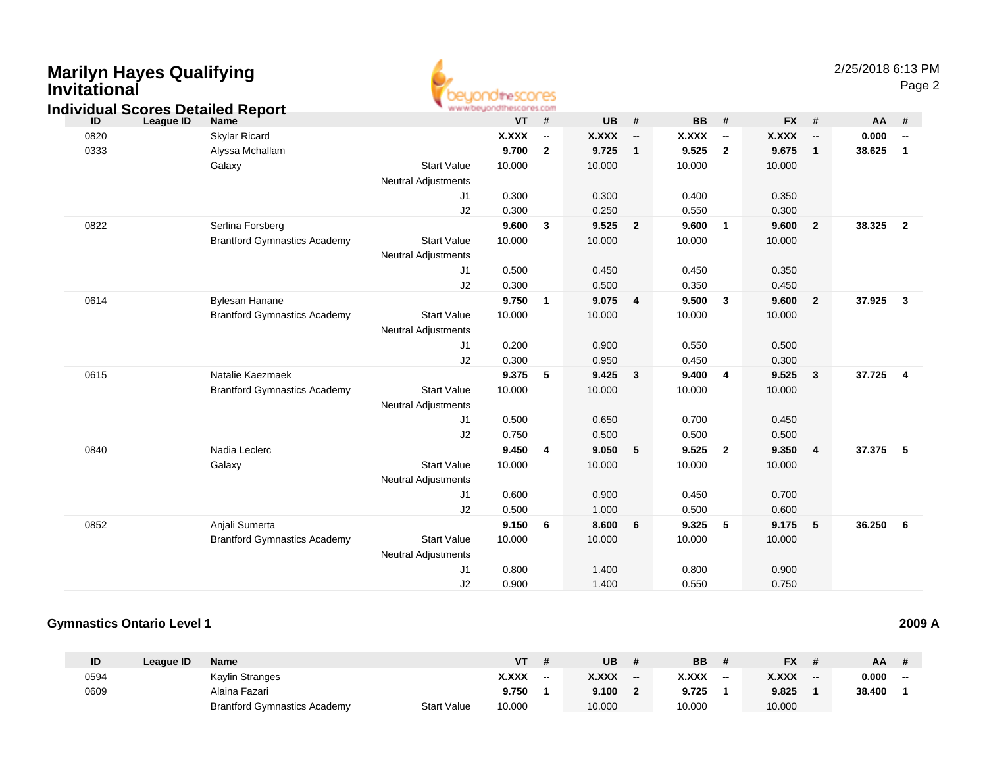| <b>Marilyn Hayes Qualifying</b><br><b>Invitational</b> | <b>Individual Scores Detailed Report</b> |                                                  | diheSCOCES<br>www.beyondthescores.com |                          |           |                          |              |                          |           |                          | 2/25/2018 6:13 PM | Page 2                  |
|--------------------------------------------------------|------------------------------------------|--------------------------------------------------|---------------------------------------|--------------------------|-----------|--------------------------|--------------|--------------------------|-----------|--------------------------|-------------------|-------------------------|
| ID                                                     | League ID<br><b>Name</b>                 |                                                  | <b>VT</b>                             | #                        | <b>UB</b> | #                        | <b>BB</b>    | #                        | <b>FX</b> | #                        | AA                | #                       |
| 0820                                                   | Skylar Ricard                            |                                                  | <b>X.XXX</b>                          | $\overline{\phantom{a}}$ | X.XXX     | $\overline{\phantom{a}}$ | <b>X.XXX</b> | $\overline{\phantom{a}}$ | X.XXX     | $\overline{\phantom{a}}$ | 0.000             |                         |
| 0333                                                   | Alyssa Mchallam                          |                                                  | 9.700                                 | $\overline{2}$           | 9.725     | $\mathbf{1}$             | 9.525        | $\overline{2}$           | 9.675     | $\mathbf{1}$             | 38.625            | $\mathbf{1}$            |
|                                                        | Galaxy                                   | <b>Start Value</b>                               | 10.000                                |                          | 10.000    |                          | 10.000       |                          | 10.000    |                          |                   |                         |
|                                                        |                                          | <b>Neutral Adjustments</b>                       |                                       |                          |           |                          |              |                          |           |                          |                   |                         |
|                                                        |                                          | J1                                               | 0.300                                 |                          | 0.300     |                          | 0.400        |                          | 0.350     |                          |                   |                         |
|                                                        |                                          | J2                                               | 0.300                                 |                          | 0.250     |                          | 0.550        |                          | 0.300     |                          |                   |                         |
| 0822                                                   | Serlina Forsberg                         |                                                  | 9.600                                 | $\mathbf{3}$             | 9.525     | $\overline{2}$           | 9.600        | $\overline{\mathbf{1}}$  | 9.600     | $\overline{2}$           | 38.325            | $\overline{2}$          |
|                                                        | <b>Brantford Gymnastics Academy</b>      | <b>Start Value</b><br><b>Neutral Adjustments</b> | 10.000                                |                          | 10.000    |                          | 10.000       |                          | 10.000    |                          |                   |                         |
|                                                        |                                          | J <sub>1</sub>                                   | 0.500                                 |                          | 0.450     |                          | 0.450        |                          | 0.350     |                          |                   |                         |
|                                                        |                                          | J2                                               | 0.300                                 |                          | 0.500     |                          | 0.350        |                          | 0.450     |                          |                   |                         |
| 0614                                                   | <b>Bylesan Hanane</b>                    |                                                  | 9.750                                 | $\mathbf{1}$             | 9.075     | 4                        | 9.500        | $\mathbf{3}$             | 9.600     | $\overline{2}$           | 37.925            | $\overline{\mathbf{3}}$ |
|                                                        | <b>Brantford Gymnastics Academy</b>      | <b>Start Value</b><br><b>Neutral Adjustments</b> | 10.000                                |                          | 10.000    |                          | 10.000       |                          | 10.000    |                          |                   |                         |
|                                                        |                                          | J1                                               | 0.200                                 |                          | 0.900     |                          | 0.550        |                          | 0.500     |                          |                   |                         |
|                                                        |                                          | J2                                               | 0.300                                 |                          | 0.950     |                          | 0.450        |                          | 0.300     |                          |                   |                         |
| 0615                                                   | Natalie Kaezmaek                         |                                                  | 9.375                                 | 5                        | 9.425     | $\mathbf{3}$             | 9.400        | $\overline{4}$           | 9.525     | $\mathbf{3}$             | 37.725            | $\overline{4}$          |
|                                                        | <b>Brantford Gymnastics Academy</b>      | <b>Start Value</b><br><b>Neutral Adjustments</b> | 10.000                                |                          | 10.000    |                          | 10.000       |                          | 10.000    |                          |                   |                         |
|                                                        |                                          | J <sub>1</sub>                                   | 0.500                                 |                          | 0.650     |                          | 0.700        |                          | 0.450     |                          |                   |                         |
|                                                        |                                          | J2                                               | 0.750                                 |                          | 0.500     |                          | 0.500        |                          | 0.500     |                          |                   |                         |
| 0840                                                   | Nadia Leclerc                            |                                                  | 9.450                                 | $\overline{\mathbf{4}}$  | 9.050     | 5                        | 9.525        | $\overline{2}$           | 9.350     | $\overline{4}$           | 37.375            | 5                       |
|                                                        | Galaxy                                   | <b>Start Value</b><br><b>Neutral Adjustments</b> | 10.000                                |                          | 10.000    |                          | 10.000       |                          | 10.000    |                          |                   |                         |
|                                                        |                                          | J1                                               | 0.600                                 |                          | 0.900     |                          | 0.450        |                          | 0.700     |                          |                   |                         |
|                                                        |                                          | J2                                               | 0.500                                 |                          | 1.000     |                          | 0.500        |                          | 0.600     |                          |                   |                         |
| 0852                                                   | Anjali Sumerta                           |                                                  | 9.150                                 | 6                        | 8.600     | 6                        | 9.325        | 5                        | 9.175     | 5                        | 36.250            | 6                       |
|                                                        | <b>Brantford Gymnastics Academy</b>      | <b>Start Value</b><br><b>Neutral Adjustments</b> | 10.000                                |                          | 10.000    |                          | 10.000       |                          | 10.000    |                          |                   |                         |
|                                                        |                                          | J1                                               | 0.800                                 |                          | 1.400     |                          | 0.800        |                          | 0.900     |                          |                   |                         |
|                                                        |                                          | J2                                               | 0.900                                 |                          | 1.400     |                          | 0.550        |                          | 0.750     |                          |                   |                         |

#### **Gymnastics Ontario Level 12009 A**

| ID   | League ID | <b>Name</b>                         |                    | VT           |       | UB           |       | BB           |    | <b>FX</b>    |    | AA.    |       |
|------|-----------|-------------------------------------|--------------------|--------------|-------|--------------|-------|--------------|----|--------------|----|--------|-------|
| 0594 |           | Kaylin Stranges                     |                    | <b>X.XXX</b> | $- -$ | <b>X.XXX</b> | $- -$ | <b>X.XXX</b> | -- | <b>X.XXX</b> | -- | 0.000  | $- -$ |
| 0609 |           | Alaina Fazari                       |                    | 9.750        |       | 9.100        |       | 9.725        |    | 9.825        |    | 38.400 |       |
|      |           | <b>Brantford Gymnastics Academy</b> | <b>Start Value</b> | 10.000       |       | 10.000       |       | 10.000       |    | 10.000       |    |        |       |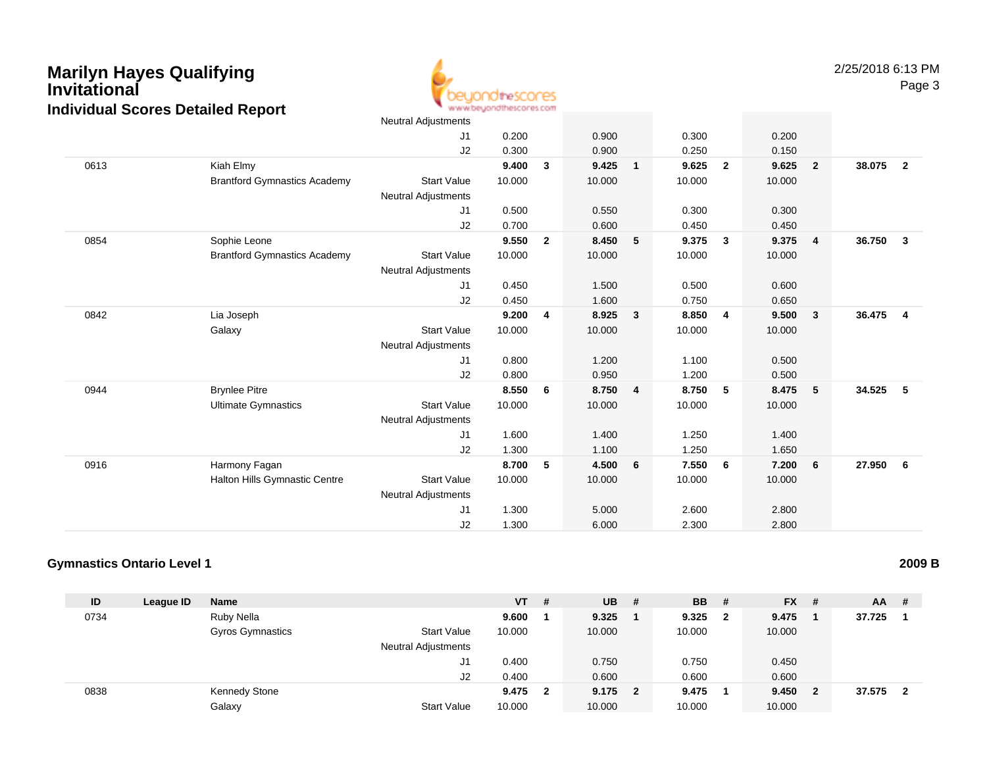# **Marilyn Hayes Qualifying InvitationalIndividual Scores Detailed Report**



Page 3

|      |                                     | <b>Neutral Adjustments</b> |        |                |        |              |        |                |        |                         |        |                         |
|------|-------------------------------------|----------------------------|--------|----------------|--------|--------------|--------|----------------|--------|-------------------------|--------|-------------------------|
|      |                                     | J1                         | 0.200  |                | 0.900  |              | 0.300  |                | 0.200  |                         |        |                         |
|      |                                     | J2                         | 0.300  |                | 0.900  |              | 0.250  |                | 0.150  |                         |        |                         |
| 0613 | Kiah Elmy                           |                            | 9.400  | 3              | 9.425  | $\mathbf{1}$ | 9.625  | $\overline{2}$ | 9.625  | $\overline{\mathbf{2}}$ | 38.075 | $\overline{2}$          |
|      | <b>Brantford Gymnastics Academy</b> | <b>Start Value</b>         | 10.000 |                | 10.000 |              | 10.000 |                | 10.000 |                         |        |                         |
|      |                                     | <b>Neutral Adjustments</b> |        |                |        |              |        |                |        |                         |        |                         |
|      |                                     | J1                         | 0.500  |                | 0.550  |              | 0.300  |                | 0.300  |                         |        |                         |
|      |                                     | J2                         | 0.700  |                | 0.600  |              | 0.450  |                | 0.450  |                         |        |                         |
| 0854 | Sophie Leone                        |                            | 9.550  | $\overline{2}$ | 8.450  | 5            | 9.375  | 3              | 9.375  | $\overline{4}$          | 36.750 | $\overline{\mathbf{3}}$ |
|      | <b>Brantford Gymnastics Academy</b> | <b>Start Value</b>         | 10.000 |                | 10.000 |              | 10.000 |                | 10.000 |                         |        |                         |
|      |                                     | <b>Neutral Adjustments</b> |        |                |        |              |        |                |        |                         |        |                         |
|      |                                     | J1                         | 0.450  |                | 1.500  |              | 0.500  |                | 0.600  |                         |        |                         |
|      |                                     | J2                         | 0.450  |                | 1.600  |              | 0.750  |                | 0.650  |                         |        |                         |
| 0842 | Lia Joseph                          |                            | 9.200  | 4              | 8.925  | $\mathbf{3}$ | 8.850  | $\overline{4}$ | 9.500  | $\overline{\mathbf{3}}$ | 36.475 | $\overline{\mathbf{4}}$ |
|      | Galaxy                              | <b>Start Value</b>         | 10.000 |                | 10.000 |              | 10.000 |                | 10.000 |                         |        |                         |
|      |                                     | <b>Neutral Adjustments</b> |        |                |        |              |        |                |        |                         |        |                         |
|      |                                     | J1                         | 0.800  |                | 1.200  |              | 1.100  |                | 0.500  |                         |        |                         |
|      |                                     | J2                         | 0.800  |                | 0.950  |              | 1.200  |                | 0.500  |                         |        |                         |
| 0944 | <b>Brynlee Pitre</b>                |                            | 8.550  | 6              | 8.750  | 4            | 8.750  | 5              | 8.475  | 5                       | 34.525 | $-5$                    |
|      | <b>Ultimate Gymnastics</b>          | <b>Start Value</b>         | 10.000 |                | 10.000 |              | 10.000 |                | 10.000 |                         |        |                         |
|      |                                     | <b>Neutral Adjustments</b> |        |                |        |              |        |                |        |                         |        |                         |
|      |                                     | J1                         | 1.600  |                | 1.400  |              | 1.250  |                | 1.400  |                         |        |                         |
|      |                                     | J2                         | 1.300  |                | 1.100  |              | 1.250  |                | 1.650  |                         |        |                         |
| 0916 | Harmony Fagan                       |                            | 8.700  | 5              | 4.500  | 6            | 7.550  | 6              | 7.200  | 6                       | 27.950 | 6                       |
|      | Halton Hills Gymnastic Centre       | <b>Start Value</b>         | 10.000 |                | 10.000 |              | 10.000 |                | 10.000 |                         |        |                         |
|      |                                     | <b>Neutral Adjustments</b> |        |                |        |              |        |                |        |                         |        |                         |
|      |                                     | J <sub>1</sub>             | 1.300  |                | 5.000  |              | 2.600  |                | 2.800  |                         |        |                         |
|      |                                     | J2                         | 1.300  |                | 6.000  |              | 2.300  |                | 2.800  |                         |        |                         |

#### **Gymnastics Ontario Level 1**

| ID   | League ID | Name                    |                            | $VT$ # |              | $UB$ #    | <b>BB</b> | - #                     | $FX$ # |                         | <b>AA</b> | #   |
|------|-----------|-------------------------|----------------------------|--------|--------------|-----------|-----------|-------------------------|--------|-------------------------|-----------|-----|
| 0734 |           | Ruby Nella              |                            | 9.600  |              | 9.325     | 9.325     | $\overline{\mathbf{2}}$ | 9.475  |                         | 37.725    |     |
|      |           | <b>Gyros Gymnastics</b> | <b>Start Value</b>         | 10.000 |              | 10.000    | 10.000    |                         | 10.000 |                         |           |     |
|      |           |                         | <b>Neutral Adjustments</b> |        |              |           |           |                         |        |                         |           |     |
|      |           |                         | J1                         | 0.400  |              | 0.750     | 0.750     |                         | 0.450  |                         |           |     |
|      |           |                         | J2                         | 0.400  |              | 0.600     | 0.600     |                         | 0.600  |                         |           |     |
| 0838 |           | <b>Kennedy Stone</b>    |                            | 9.475  | $\mathbf{2}$ | $9.175$ 2 | 9.475     |                         | 9.450  | $\overline{\mathbf{2}}$ | 37.575    | - 2 |
|      |           | Galaxy                  | <b>Start Value</b>         | 10.000 |              | 10.000    | 10.000    |                         | 10.000 |                         |           |     |

**2009 B**